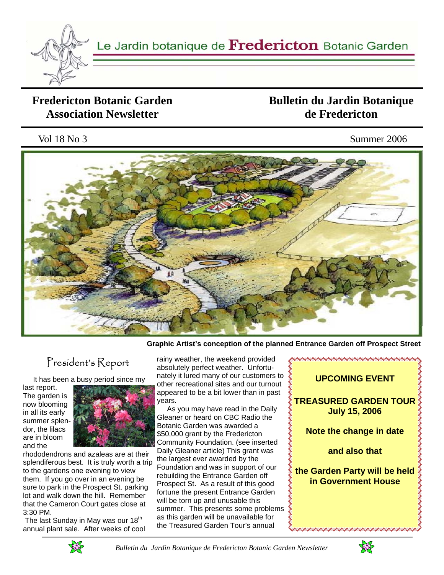

### **Fredericton Botanic Garden Association Newsletter**

## **Bulletin du Jardin Botanique de Fredericton**

### Vol 18 No 3 Summer 2006



**Graphic Artist's conception of the planned Entrance Garden off Prospect Street** 

# President's Report

It has been a busy period since my

last report. The garden is now blooming in all its early summer splendor, the lilacs are in bloom and the



rhododendrons and azaleas are at their splendiferous best. It is truly worth a trip to the gardens one evening to view them. If you go over in an evening be sure to park in the Prospect St. parking lot and walk down the hill. Remember that the Cameron Court gates close at 3:30 PM.

The last Sunday in May was our  $18<sup>th</sup>$ annual plant sale. After weeks of cool rainy weather, the weekend provided absolutely perfect weather. Unfortunately it lured many of our customers to other recreational sites and our turnout appeared to be a bit lower than in past years.

 As you may have read in the Daily Gleaner or heard on CBC Radio the Botanic Garden was awarded a \$50,000 grant by the Fredericton Community Foundation. (see inserted Daily Gleaner article) This grant was the largest ever awarded by the Foundation and was in support of our rebuilding the Entrance Garden off Prospect St. As a result of this good fortune the present Entrance Garden will be torn up and unusable this summer. This presents some problems as this garden will be unavailable for the Treasured Garden Tour's annual





 *Bulletin du Jardin Botanique de Fredericton Botanic Garden Newsletter* 

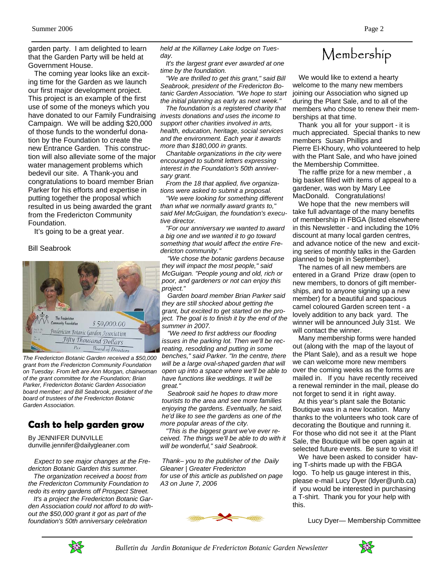garden party. I am delighted to learn that the Garden Party will be held at Government House.

 The coming year looks like an exciting time for the Garden as we launch our first major development project. This project is an example of the first use of some of the moneys which you have donated to our Family Fundraising *invests donations and uses the income to*  Campaign. We will be adding \$20,000 of those funds to the wonderful donation by the Foundation to create the new Entrance Garden. This construction will also alleviate some of the major water management problems which bedevil our site. A Thank-you and congratulations to board member Brian Parker for his efforts and expertise in putting together the proposal which resulted in us being awarded the grant from the Fredericton Community Foundation.

It's going to be a great year.

#### Bill Seabrook



*The Fredericton Botanic Garden received a \$50,000 grant from the Fredericton Community Foundation on Tuesday. From left are Ann Morgan, chairwoman of the grant committee for the Foundation; Brian Parker, Fredericton Botanic Garden Association board member; and Bill Seabrook, president of the board of trustees of the Fredericton Botanic Garden Association.* 

### **Cash to help garden grow**

By JENNIFER DUNVILLE dunville.jennifer@dailygleaner.com

 *Expect to see major changes at the Fredericton Botanic Garden this summer.* 

 *The organization received a boost from the Fredericton Community Foundation to redo its entry gardens off Prospect Street.* 

 *It's a project the Fredericton Botanic Garden Association could not afford to do without the \$50,000 grant it got as part of the foundation's 50th anniversary celebration* 

*held at the Killarney Lake lodge on Tuesday.* 

 *It's the largest grant ever awarded at one time by the foundation.* 

 *"We are thrilled to get this grant," said Bill Seabrook, president of the Fredericton Botanic Garden Association. "We hope to start the initial planning as early as next week."* 

 *The foundation is a registered charity that support other charities involved in arts, health, education, heritage, social services and the environment. Each year it awards more than \$180,000 in grants.* 

 *Charitable organizations in the city were encouraged to submit letters expressing interest in the Foundation's 50th anniversary grant.* 

 *From the 18 that applied, five organizations were asked to submit a proposal.* 

 *"We were looking for something different than what we normally award grants to," said Mel McGuigan, the foundation's executive director.* 

 *"For our anniversary we wanted to award a big one and we wanted it to go toward something that would affect the entire Fredericton community."* 

 *"We chose the botanic gardens because they will impact the most people," said McGuigan. "People young and old, rich or poor, and gardeners or not can enjoy this project."* 

 *Garden board member Brian Parker said they are still shocked about getting the grant, but excited to get started on the project. The goal is to finish it by the end of the summer in 2007.* 

 *"We need to first address our flooding issues in the parking lot. Then we'll be recreating, resodding and putting in some benches," said Parker. "In the centre, there will be a large oval-shaped garden that will open up into a space where we'll be able to have functions like weddings. It will be great."* 

 *Seabrook said he hopes to draw more tourists to the area and see more families enjoying the gardens. Eventually, he said, he'd like to see the gardens as one of the more popular areas of the city.* 

 *"This is the biggest grant we've ever received. The things we'll be able to do with it will be wonderful," said Seabrook.* 

*Thank– you to the publisher of the Daily Gleaner | Greater Fredericton for use of this article as published on page A3 on June 7, 2006* 



# Membership

 We would like to extend a hearty welcome to the many new members joining our Association who signed up during the Plant Sale, and to all of the members who chose to renew their memberships at that time.

 Thank you all for your support - it is much appreciated. Special thanks to new members Susan Phillips and Pierre El-Khoury, who volunteered to help with the Plant Sale, and who have joined the Membership Committee.

 The raffle prize for a new member , a big basket filled with items of appeal to a gardener, was won by Mary Lee MacDonald. Congratulations!

 We hope that the new members will take full advantage of the many benefits of membership in FBGA (listed elsewhere in this Newsletter - and including the 10% discount at many local garden centres, and advance notice of the new and exciting series of monthly talks in the Garden planned to begin in September).

 The names of all new members are entered in a Grand Prize draw (open to new members, to donors of gift memberships, and to anyone signing up a new member) for a beautiful and spacious camel coloured Garden screen tent - a lovely addition to any back yard. The winner will be announced July 31st. We will contact the winner.

 Many membership forms were handed out (along with the map of the layout of the Plant Sale), and as a result we hope we can welcome more new members over the coming weeks as the forms are mailed in. If you have recently received a renewal reminder in the mail, please do not forget to send it in right away.

 At this year's plant sale the Botanic Boutique was in a new location. Many thanks to the volunteers who took care of decorating the Boutique and running it. For those who did not see it at the Plant Sale, the Boutique will be open again at selected future events. Be sure to visit it!

 We have been asked to consider having T-shirts made up with the FBGA logo. To help us gauge interest in this, please e-mail Lucy Dyer (ldyer@unb.ca) if you would be interested in purchasing a T-shirt. Thank you for your help with this.

Lucy Dyer— Membership Committee



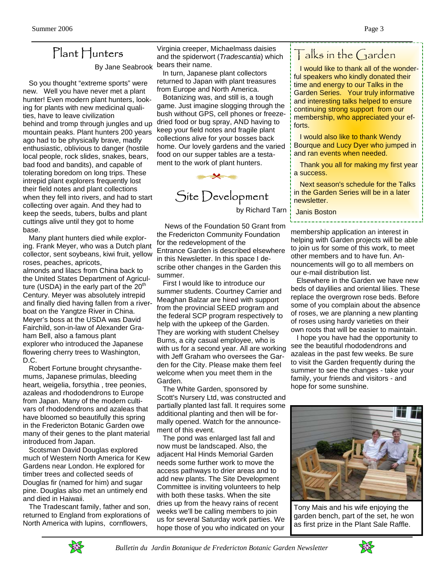## Plant Hunters

 So you thought "extreme sports" were new. Well you have never met a plant hunter! Even modern plant hunters, looking for plants with new medicinal qualities, have to leave civilization behind and tromp through jungles and up mountain peaks. Plant hunters 200 years ago had to be physically brave, madly enthusiastic, oblivious to danger (hostile local people, rock slides, snakes, bears, bad food and bandits), and capable of tolerating boredom on long trips. These intrepid plant explorers frequently lost their field notes and plant collections when they fell into rivers, and had to start collecting over again. And they had to keep the seeds, tubers, bulbs and plant cuttings alive until they got to home base.

 Many plant hunters died while exploring. Frank Meyer, who was a Dutch plant collector, sent soybeans, kiwi fruit, yellow roses, peaches, apricots, almonds and lilacs from China back to the United States Department of Agriculture (USDA) in the early part of the  $20<sup>th</sup>$ Century. Meyer was absolutely intrepid and finally died having fallen from a riverboat on the Yangtze River in China. Meyer's boss at the USDA was David Fairchild, son-in-law of Alexander Graham Bell, also a famous plant explorer who introduced the Japanese flowering cherry trees to Washington, D.C.

 Robert Fortune brought chrysanthemums, Japanese primulas, bleeding heart, weigelia, forsythia , tree peonies, azaleas and rhododendrons to Europe from Japan. Many of the modern cultivars of rhododendrons and azaleas that have bloomed so beautifully this spring in the Fredericton Botanic Garden owe many of their genes to the plant material introduced from Japan.

 Scotsman David Douglas explored much of Western North America for Kew Gardens near London. He explored for timber trees and collected seeds of Douglas fir (named for him) and sugar pine. Douglas also met an untimely end and died in Haiwaii.

 The Tradescant family, father and son, returned to England from explorations of North America with lupins, cornflowers,

By Jane Seabrook bears their name. Virginia creeper, Michaelmass daisies and the spiderwort (*Tradescantia*) which

 In turn, Japanese plant collectors returned to Japan with plant treasures from Europe and North America.

 Botanizing was, and still is, a tough game. Just imagine slogging through the bush without GPS, cell phones or freezedried food or bug spray, AND having to keep your field notes and fragile plant collections alive for your bosses back home. Our lovely gardens and the varied food on our supper tables are a testament to the work of plant hunters.



# Site Development

by Richard Tarn

 News of the Foundation 50 Grant from the Fredericton Community Foundation for the redevelopment of the Entrance Garden is described elsewhere in this Newsletter. In this space I describe other changes in the Garden this summer.

 First I would like to introduce our summer students. Courtney Carrier and Meaghan Balzar are hired with support from the provincial SEED program and the federal SCP program respectively to help with the upkeep of the Garden. They are working with student Chelsey Burns, a city casual employee, who is with us for a second year. All are working with Jeff Graham who oversees the Garden for the City. Please make them feel welcome when you meet them in the Garden.

 The White Garden, sponsored by Scott's Nursery Ltd, was constructed and partially planted last fall. It requires some additional planting and then will be formally opened. Watch for the announcement of this event.

 The pond was enlarged last fall and now must be landscaped. Also, the adjacent Hal Hinds Memorial Garden needs some further work to move the access pathways to drier areas and to add new plants. The Site Development Committee is inviting volunteers to help with both these tasks. When the site dries up from the heavy rains of recent weeks we'll be calling members to join us for several Saturday work parties. We hope those of you who indicated on your

# Talks in the Garden

 I would like to thank all of the wonderful speakers who kindly donated their time and energy to our Talks in the Garden Series. Your truly informative and interesting talks helped to ensure continuing strong support from our membership, who appreciated your efforts.

 I would also like to thank Wendy Bourque and Lucy Dyer who jumped in and ran events when needed.

 Thank you all for making my first year a success.

 Next season's schedule for the Talks in the Garden Series will be in a later newsletter.

#### Janis Boston

membership application an interest in helping with Garden projects will be able to join us for some of this work, to meet other members and to have fun. Announcements will go to all members on our e-mail distribution list.

 Elsewhere in the Garden we have new beds of daylilies and oriental lilies. These replace the overgrown rose beds. Before some of you complain about the absence of roses, we are planning a new planting of roses using hardy varieties on their own roots that will be easier to maintain.

 I hope you have had the opportunity to see the beautiful rhododendrons and azaleas in the past few weeks. Be sure to visit the Garden frequently during the summer to see the changes - take your family, your friends and visitors - and hope for some sunshine.



Tony Mais and his wife enjoying the garden bench, part of the set, he won as first prize in the Plant Sale Raffle.